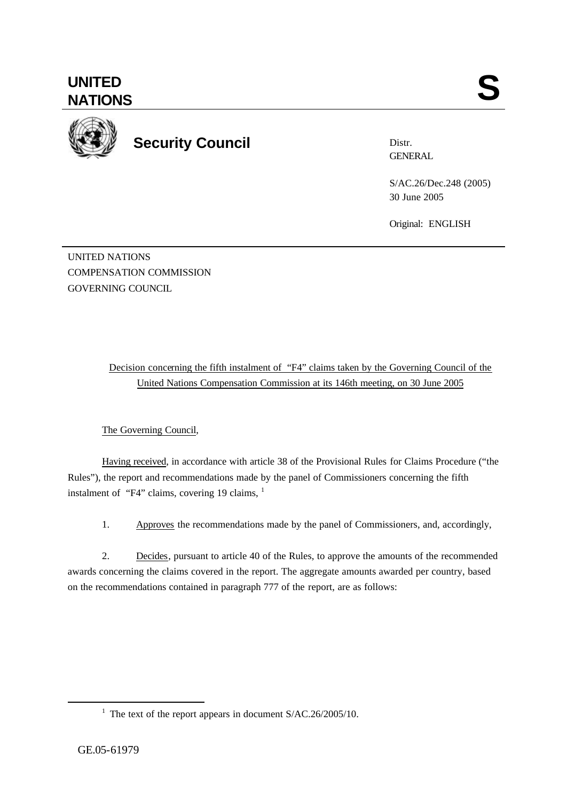

**Security Council**

Distr. **GENERAL** 

S/AC.26/Dec.248 (2005) 30 June 2005

Original: ENGLISH

UNITED NATIONS COMPENSATION COMMISSION GOVERNING COUNCIL

> Decision concerning the fifth instalment of "F4" claims taken by the Governing Council of the United Nations Compensation Commission at its 146th meeting, on 30 June 2005

The Governing Council,

Having received, in accordance with article 38 of the Provisional Rules for Claims Procedure ("the Rules"), the report and recommendations made by the panel of Commissioners concerning the fifth instalment of "F4" claims, covering 19 claims,  $1$ 

1. Approves the recommendations made by the panel of Commissioners, and, accordingly,

2. Decides, pursuant to article 40 of the Rules, to approve the amounts of the recommended awards concerning the claims covered in the report. The aggregate amounts awarded per country, based on the recommendations contained in paragraph 777 of the report, are as follows:

l

<sup>&</sup>lt;sup>1</sup> The text of the report appears in document  $S/AC.26/2005/10$ .